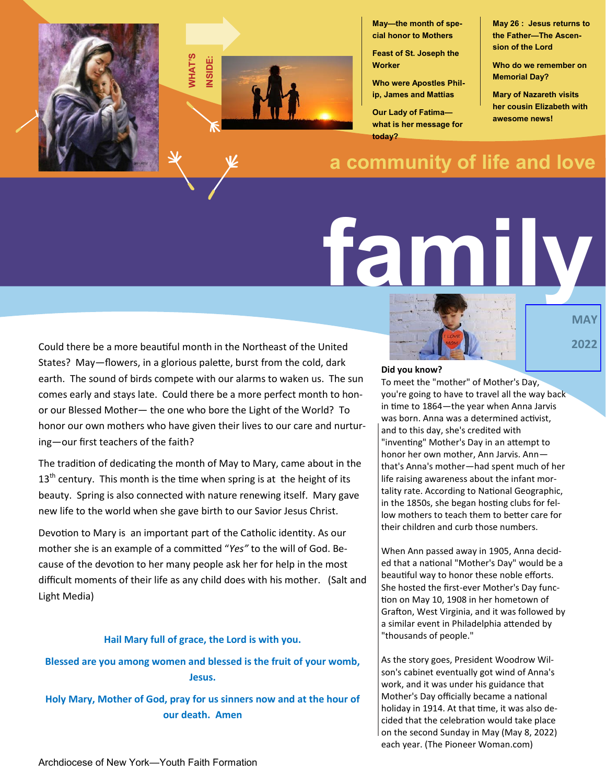



**May—the month of special honor to Mothers** 

**Feast of St. Joseph the Worker**

**Who were Apostles Philip, James and Mattias**

**Our Lady of Fatima what is her message for today?**

**a community of life and love**

# **family**

Could there be a more beautiful month in the Northeast of the United States? May—flowers, in a glorious palette, burst from the cold, dark earth. The sound of birds compete with our alarms to waken us. The sun comes early and stays late. Could there be a more perfect month to honor our Blessed Mother— the one who bore the Light of the World? To honor our own mothers who have given their lives to our care and nurturing—our first teachers of the faith?

The tradition of dedicating the month of May to Mary, came about in the  $13<sup>th</sup>$  century. This month is the time when spring is at the height of its beauty. Spring is also connected with nature renewing itself. Mary gave new life to the world when she gave birth to our Savior Jesus Christ.

Devotion to Mary is an important part of the Catholic identity. As our mother she is an example of a committed "*Yes"* to the will of God. Because of the devotion to her many people ask her for help in the most difficult moments of their life as any child does with his mother. (Salt and Light Media)

### **Hail Mary full of grace, the Lord is with you.**

**Blessed are you among women and blessed is the fruit of your womb, Jesus.**

**Holy Mary, Mother of God, pray for us sinners now and at the hour of our death. Amen**



**MAY 2022**

**May 26 : Jesus returns to the Father—The Ascension of the Lord**

**Who do we remember on** 

**Mary of Nazareth visits her cousin Elizabeth with** 

**Memorial Day?**

**awesome news!**

#### **Did you know?**

To meet the "mother" of Mother's Day, you're going to have to travel all the way back in time to 1864—the year when Anna Jarvis was born. Anna was a determined activist, and to this day, she's credited with "inventing" Mother's Day in an attempt to honor her own mother, Ann Jarvis. Ann that's Anna's mother—had spent much of her life raising awareness about the infant mortality rate. According to [National Geographic,](https://go.redirectingat.com/?id=74968X1616970&url=https%3A%2F%2Fwww.nationalgeographic.com%2Fnews%2F2014%2F5%2F140508-mothers-day-nation-gifts-facts-culture-moms%2F&sref=https%3A%2F%2Fwww.thepioneerwoman.com%2Fholidays-celebrations%2Fa35452325%2Fwhen-is-moth) in the 1850s, she began hosting clubs for fellow mothers to teach them to better care for their children and curb those numbers.

When Ann passed away in 1905, Anna decided that a national "Mother's Day" would be a beautiful way to honor these noble efforts. She hosted the first-ever Mother's Day function on May 10, 1908 in her hometown of Grafton, West Virginia, and it was followed by a similar event in Philadelphia attended by "thousands of people."

As the story goes, President Woodrow Wilson's cabinet eventually got wind of Anna's work, and it was under his guidance that Mother's Day officially became a national holiday in 1914. At that time, it was also decided that the celebration would take place on the second Sunday in May (May 8, 2022) each year. (The Pioneer Woman.com)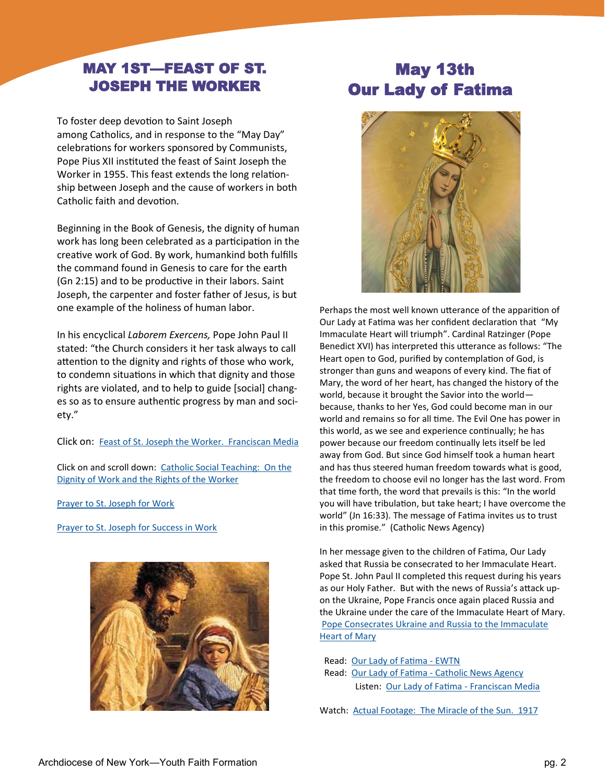## MAY 1ST—FEAST OF ST. JOSEPH THE WORKER

To foster deep devotion to Saint Joseph among Catholics, and in response to the "May Day" celebrations for workers sponsored by Communists, Pope Pius XII instituted the feast of Saint Joseph the Worker in 1955. This feast extends the long relationship between Joseph and the cause of workers in both Catholic faith and devotion.

Beginning in the Book of Genesis, the dignity of human work has long been celebrated as a participation in the creative work of God. By work, humankind both fulfills the command found in Genesis to care for the earth (Gn 2:15) and to be productive in their labors. Saint Joseph, the carpenter and foster father of Jesus, is but one example of the holiness of human labor.

In his encyclical *Laborem Exercens,* Pope John Paul II stated: "the Church considers it her task always to call attention to the dignity and rights of those who work, to condemn situations in which that dignity and those rights are violated, and to help to guide [social] changes so as to ensure authentic progress by man and society."

Click on: [Feast of St. Joseph the Worker. Franciscan Media](https://www.franciscanmedia.org/saint-of-the-day/saint-joseph-the-worker)

Click on and scroll down: [Catholic Social Teaching: On the](https://www.usccb.org/beliefs-and-teachings/what-we-believe/catholic-social-teaching/seven-themes-of-catholic-social-teaching)  [Dignity of Work and the Rights of the Worker](https://www.usccb.org/beliefs-and-teachings/what-we-believe/catholic-social-teaching/seven-themes-of-catholic-social-teaching)

[Prayer to St. Joseph for Work](https://www.youtube.com/watch?v=hFXlMgT5cj4&list=RDLVRYKcruijjZ0&index=4)

[Prayer to St. Joseph for Success in Work](https://www.youtube.com/watch?v=2DP9iyxSjYA)



# May 13th Our Lady of Fatima



Perhaps the most well known utterance of the apparition of Our Lady at Fatima was her confident declaration that "My Immaculate Heart will triumph". Cardinal Ratzinger (Pope Benedict XVI) has interpreted this utterance as follows: "The Heart open to God, purified by contemplation of God, is stronger than guns and weapons of every kind. The fiat of Mary, the word of her heart, has changed the history of the world, because it brought the Savior into the world because, thanks to her Yes, God could become man in our world and remains so for all time. The Evil One has power in this world, as we see and experience continually; he has power because our freedom continually lets itself be led away from God. But since God himself took a human heart and has thus steered human freedom towards what is good, the freedom to choose evil no longer has the last word. From that time forth, the word that prevails is this: "In the world you will have tribulation, but take heart; I have overcome the world" (Jn 16:33). The message of Fatima invites us to trust in this promise." (Catholic News Agency)

In her message given to the children of Fatima, Our Lady asked that Russia be consecrated to her Immaculate Heart. Pope St. John Paul II completed this request during his years as our Holy Father. But with the news of Russia's attack upon the Ukraine, Pope Francis once again placed Russia and the Ukraine under the care of the Immaculate Heart of Mary. [Pope Consecrates Ukraine and Russia to the Immaculate](https://www.catholicnewsagency.com/news/250796/pope-francis-consecrates-russia-and-ukraine-to-the-immaculate-heart-of-mary)  [Heart of Mary](https://www.catholicnewsagency.com/news/250796/pope-francis-consecrates-russia-and-ukraine-to-the-immaculate-heart-of-mary)

 Read: [Our Lady of Fatima](https://www.ewtn.com/catholicism/saints/our-lady-of-fatima-423) - EWTN Read: Our Lady of Fatima - [Catholic News Agency](https://www.catholicnewsagency.com/saint/our-lady-of-fatima-485)  Listen: [Our Lady of Fatima](https://www.franciscanmedia.org/saint-of-the-day/our-lady-of-fatima) - Franciscan Media

Watch: [Actual Footage: The Miracle of the Sun. 1917](https://www.youtube.com/watch?v=rBIs8cuIwTo)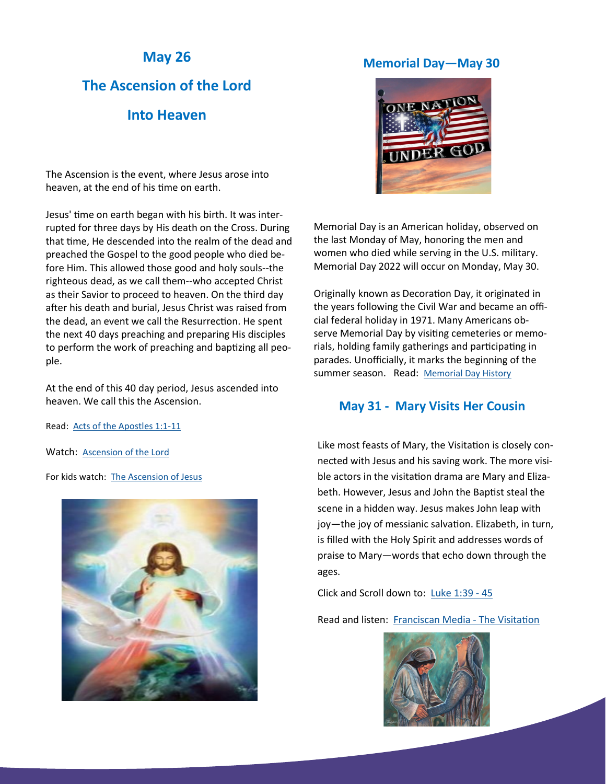## **May 26**

# **The Ascension of the Lord**

## **Into Heaven**

The Ascension is the event, where Jesus arose into heaven, at the end of his time on earth.

Jesus' time on earth began with his birth. It was interrupted for three days by His death on the Cross. During that time, He descended into the realm of the dead and preached the Gospel to the good people who died before Him. This allowed those good and holy souls--the righteous dead, as we call them--who accepted Christ as their Savior to proceed to heaven. On the third day after his death and burial, Jesus Christ was raised from the dead, an event we call the Resurrection. He spent the next 40 days preaching and preparing His disciples to perform the work of preaching and baptizing all people.

At the end of this 40 day period, Jesus ascended into heaven. We call this the Ascension.

Read: [Acts of the Apostles 1:1](https://bible.usccb.org/bible/acts/1)-11

Watch: [Ascension of the Lord](https://www.youtube.com/watch?v=mmE4uon5OBk&list=PL58g24NgWPIw5mZAZZggyowJf_WrJ7SCE)

For kids watch: [The Ascension of Jesus](https://www.youtube.com/watch?v=UcFw8pLBSIo)



## **Memorial Day—May 30**



Memorial Day is an American holiday, observed on the last Monday of May, honoring the men and women who died while serving in the U.S. military. Memorial Day 2022 will occur on Monday, May 30.

Originally known as Decoration Day, it originated in the years following the Civil War and became an official federal holiday in 1971. Many Americans observe Memorial Day by visiting cemeteries or memorials, holding family gatherings and participating in parades. Unofficially, it marks the beginning of the summer season. Read: [Memorial Day History](https://www.history.com/topics/holidays/memorial-day-history)

## **May 31 - Mary Visits Her Cousin**

Like most feasts of Mary, the Visitation is closely connected with Jesus and his saving work. The more visible actors in the visitation drama are Mary and Elizabeth. However, Jesus and John the Baptist steal the scene in a hidden way. Jesus makes John leap with joy—the joy of messianic salvation. Elizabeth, in turn, is filled with the Holy Spirit and addresses words of praise to Mary—words that echo down through the ages.

Click and Scroll down to: [Luke 1:39](https://bible.usccb.org/bible/luke/1) - 45

Read and listen: [Franciscan Media](https://www.franciscanmedia.org/saint-of-the-day/visitation-of-the-blessed-virgin-mary) - The Visitation